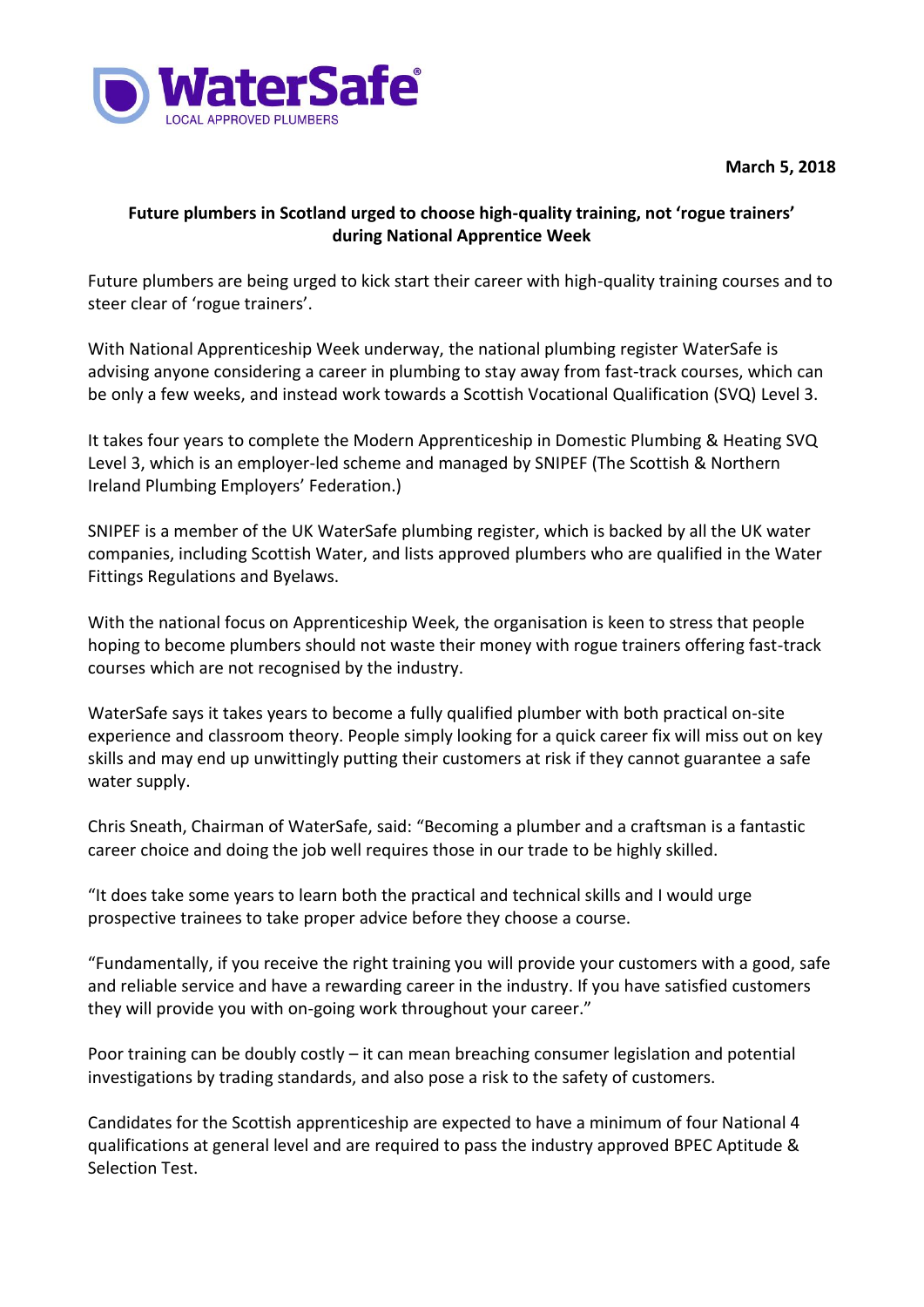

**March 5, 2018**

## **Future plumbers in Scotland urged to choose high-quality training, not 'rogue trainers' during National Apprentice Week**

Future plumbers are being urged to kick start their career with high-quality training courses and to steer clear of 'rogue trainers'.

With National Apprenticeship Week underway, the national plumbing register WaterSafe is advising anyone considering a career in plumbing to stay away from fast-track courses, which can be only a few weeks, and instead work towards a Scottish Vocational Qualification (SVQ) Level 3.

It takes four years to complete the Modern Apprenticeship in Domestic Plumbing & Heating SVQ Level 3, which is an employer-led scheme and managed by SNIPEF (The Scottish & Northern Ireland Plumbing Employers' Federation.)

SNIPEF is a member of the UK WaterSafe plumbing register, which is backed by all the UK water companies, including Scottish Water, and lists approved plumbers who are qualified in the Water Fittings Regulations and Byelaws.

With the national focus on Apprenticeship Week, the organisation is keen to stress that people hoping to become plumbers should not waste their money with rogue trainers offering fast-track courses which are not recognised by the industry.

WaterSafe says it takes years to become a fully qualified plumber with both practical on-site experience and classroom theory. People simply looking for a quick career fix will miss out on key skills and may end up unwittingly putting their customers at risk if they cannot guarantee a safe water supply.

Chris Sneath, Chairman of WaterSafe, said: "Becoming a plumber and a craftsman is a fantastic career choice and doing the job well requires those in our trade to be highly skilled.

"It does take some years to learn both the practical and technical skills and I would urge prospective trainees to take proper advice before they choose a course.

"Fundamentally, if you receive the right training you will provide your customers with a good, safe and reliable service and have a rewarding career in the industry. If you have satisfied customers they will provide you with on-going work throughout your career."

Poor training can be doubly costly – it can mean breaching consumer legislation and potential investigations by trading standards, and also pose a risk to the safety of customers.

Candidates for the Scottish apprenticeship are expected to have a minimum of four National 4 qualifications at general level and are required to pass the industry approved BPEC Aptitude & Selection Test.